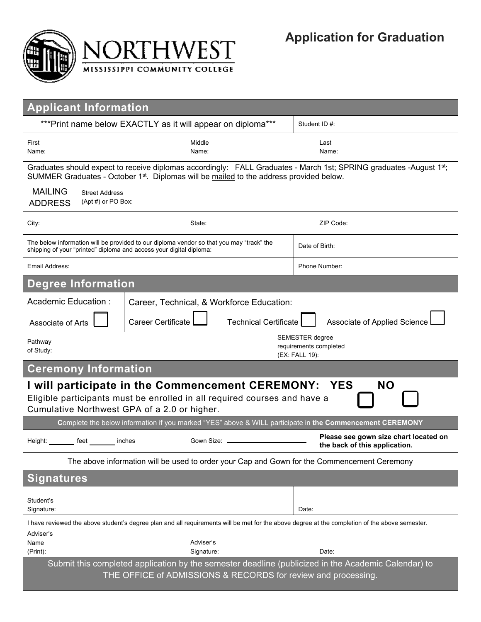

| <b>Applicant Information</b>                                                                                                                                                                                              |                                             |                                                                     |                                                                                          |                                                                    |               |                                                                                                          |  |  |  |  |  |
|---------------------------------------------------------------------------------------------------------------------------------------------------------------------------------------------------------------------------|---------------------------------------------|---------------------------------------------------------------------|------------------------------------------------------------------------------------------|--------------------------------------------------------------------|---------------|----------------------------------------------------------------------------------------------------------|--|--|--|--|--|
|                                                                                                                                                                                                                           |                                             | ***Print name below EXACTLY as it will appear on diploma***         |                                                                                          |                                                                    | Student ID #: |                                                                                                          |  |  |  |  |  |
| First<br>Name:                                                                                                                                                                                                            |                                             |                                                                     | Middle<br>Name:                                                                          |                                                                    |               | Last<br>Name:                                                                                            |  |  |  |  |  |
| Graduates should expect to receive diplomas accordingly: FALL Graduates - March 1st; SPRING graduates -August 1st;<br>SUMMER Graduates - October 1 <sup>st</sup> . Diplomas will be mailed to the address provided below. |                                             |                                                                     |                                                                                          |                                                                    |               |                                                                                                          |  |  |  |  |  |
| <b>MAILING</b><br><b>ADDRESS</b>                                                                                                                                                                                          | <b>Street Address</b><br>(Apt #) or PO Box: |                                                                     |                                                                                          |                                                                    |               |                                                                                                          |  |  |  |  |  |
| City:                                                                                                                                                                                                                     |                                             |                                                                     | State:                                                                                   |                                                                    |               | ZIP Code:                                                                                                |  |  |  |  |  |
|                                                                                                                                                                                                                           |                                             | shipping of your "printed" diploma and access your digital diploma: | The below information will be provided to our diploma vendor so that you may "track" the |                                                                    |               | Date of Birth:                                                                                           |  |  |  |  |  |
| Email Address:                                                                                                                                                                                                            |                                             |                                                                     |                                                                                          |                                                                    | Phone Number: |                                                                                                          |  |  |  |  |  |
| <b>Degree Information</b>                                                                                                                                                                                                 |                                             |                                                                     |                                                                                          |                                                                    |               |                                                                                                          |  |  |  |  |  |
| Academic Education:<br>Career, Technical, & Workforce Education:                                                                                                                                                          |                                             |                                                                     |                                                                                          |                                                                    |               |                                                                                                          |  |  |  |  |  |
| <b>Career Certificate</b><br><b>Technical Certificate</b><br>Associate of Applied Science<br>Associate of Arts                                                                                                            |                                             |                                                                     |                                                                                          |                                                                    |               |                                                                                                          |  |  |  |  |  |
| Pathway<br>of Study:                                                                                                                                                                                                      |                                             |                                                                     |                                                                                          | <b>SEMESTER</b> degree<br>requirements completed<br>(EX: FALL 19): |               |                                                                                                          |  |  |  |  |  |
| <b>Ceremony Information</b>                                                                                                                                                                                               |                                             |                                                                     |                                                                                          |                                                                    |               |                                                                                                          |  |  |  |  |  |
| <b>NO</b><br>I will participate in the Commencement CEREMONY:<br><b>YES</b><br>Eligible participants must be enrolled in all required courses and have a<br>Cumulative Northwest GPA of a 2.0 or higher.                  |                                             |                                                                     |                                                                                          |                                                                    |               |                                                                                                          |  |  |  |  |  |
|                                                                                                                                                                                                                           |                                             |                                                                     |                                                                                          |                                                                    |               | Complete the below information if you marked "YES" above & WILL participate in the Commencement CEREMONY |  |  |  |  |  |
| Height: ________ feet                                                                                                                                                                                                     |                                             | inches                                                              | Gown Size: L                                                                             |                                                                    |               | Please see gown size chart located on<br>the back of this application.                                   |  |  |  |  |  |
| The above information will be used to order your Cap and Gown for the Commencement Ceremony                                                                                                                               |                                             |                                                                     |                                                                                          |                                                                    |               |                                                                                                          |  |  |  |  |  |
| <b>Signatures</b>                                                                                                                                                                                                         |                                             |                                                                     |                                                                                          |                                                                    |               |                                                                                                          |  |  |  |  |  |
| Student's<br>Signature:                                                                                                                                                                                                   |                                             |                                                                     |                                                                                          |                                                                    | Date:         |                                                                                                          |  |  |  |  |  |
| I have reviewed the above student's degree plan and all requirements will be met for the above degree at the completion of the above semester.                                                                            |                                             |                                                                     |                                                                                          |                                                                    |               |                                                                                                          |  |  |  |  |  |
| Adviser's<br>Name<br>(Print):                                                                                                                                                                                             |                                             |                                                                     | Adviser's<br>Signature:                                                                  |                                                                    |               | Date:                                                                                                    |  |  |  |  |  |
| Submit this completed application by the semester deadline (publicized in the Academic Calendar) to<br>THE OFFICE of ADMISSIONS & RECORDS for review and processing.                                                      |                                             |                                                                     |                                                                                          |                                                                    |               |                                                                                                          |  |  |  |  |  |